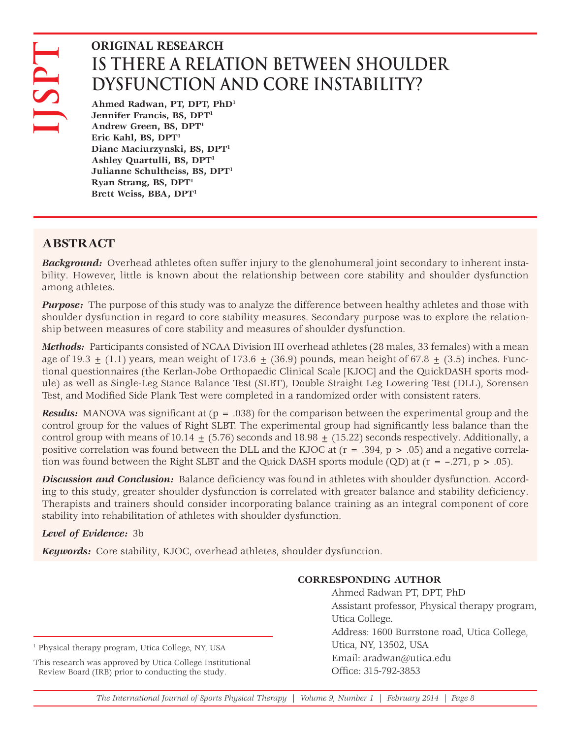# **IS THERE A RELATION BETWEEN SHOULDER DYSFUNCTION AND CORE INSTABILITY?**

**Ahmed Radwan, PT, DPT, PhD1 Jennifer Francis, BS, DPT1 Andrew Green, BS, DPT1 Eric Kahl, BS, DPT1 Diane Maciurzynski, BS, DPT1 Ashley Quartulli, BS, DPT1 Julianne Schultheiss, BS, DPT1 Ryan Strang, BS, DPT1 Brett Weiss, BBA, DPT1**

# **ABSTRACT**

*Background:* Overhead athletes often suffer injury to the glenohumeral joint secondary to inherent instability. However, little is known about the relationship between core stability and shoulder dysfunction among athletes.

*Purpose:* The purpose of this study was to analyze the difference between healthy athletes and those with shoulder dysfunction in regard to core stability measures. Secondary purpose was to explore the relationship between measures of core stability and measures of shoulder dysfunction.

*Methods:* Participants consisted of NCAA Division III overhead athletes (28 males, 33 females) with a mean age of 19.3  $\pm$  (1.1) years, mean weight of 173.6  $\pm$  (36.9) pounds, mean height of 67.8  $\pm$  (3.5) inches. Functional questionnaires (the Kerlan-Jobe Orthopaedic Clinical Scale [KJOC] and the QuickDASH sports module) as well as Single-Leg Stance Balance Test (SLBT), Double Straight Leg Lowering Test (DLL), Sorensen Test, and Modified Side Plank Test were completed in a randomized order with consistent raters. **KEYWORD INTERFARCH**<br>
IS THERE ARELATION BETWEEN SHOW AND CORE INSTABIL DUSTING TROM THOM HOW INTO TROM AND CORE INSTABILITY and and the calibre y carrelar, 188, DPT"<br>
Frick Kahl, 189, DPT"<br>
Frick Kahl, 189, DPT"<br>
Diane Ma

*Results:* MANOVA was significant at (p = .038) for the comparison between the experimental group and the control group for the values of Right SLBT. The experimental group had significantly less balance than the control group with means of  $10.14 + (5.76)$  seconds and  $18.98 + (15.22)$  seconds respectively. Additionally, a positive correlation was found between the DLL and the KJOC at (r = .394, p > .05) and a negative correlation was found between the Right SLBT and the Quick DASH sports module (QD) at  $(r = -.271, p > .05)$ .

*Discussion and Conclusion:* Balance deficiency was found in athletes with shoulder dysfunction. According to this study, greater shoulder dysfunction is correlated with greater balance and stability deficiency. Therapists and trainers should consider incorporating balance training as an integral component of core stability into rehabilitation of athletes with shoulder dysfunction.

# *Level of Evidence:* 3b

# **CORRESPONDING AUTHOR**

Ahmed Radwan PT, DPT, PhD Assistant professor, Physical therapy program, Utica College. Address: 1600 Burrstone road, Utica College, Utica, NY, 13502, USA Email: aradwan@utica.edu Office: 315-792-3853

#### <sup>1</sup> Physical therapy program, Utica College, NY, USA

This research was approved by Utica College Institutional Review Board (IRB) prior to conducting the study.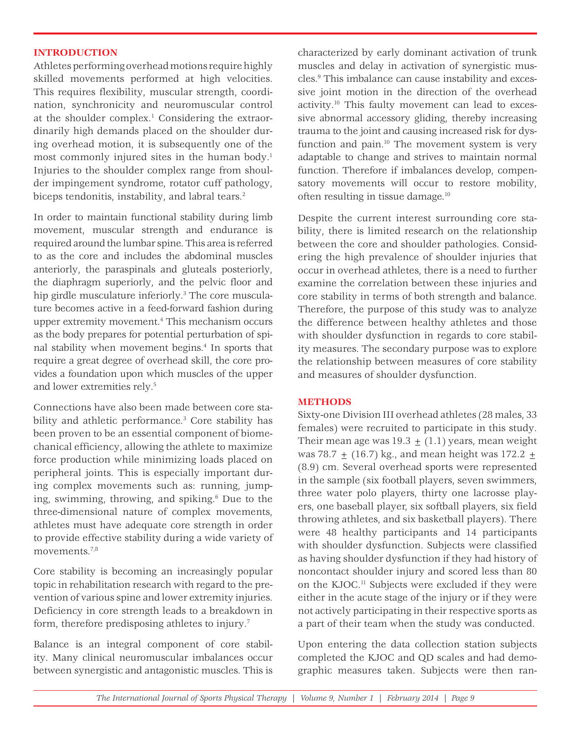#### **INTRODUCTION**

Athletes performing overhead motions require highly skilled movements performed at high velocities. This requires flexibility, muscular strength, coordination, synchronicity and neuromuscular control at the shoulder complex.<sup>1</sup> Considering the extraordinarily high demands placed on the shoulder during overhead motion, it is subsequently one of the most commonly injured sites in the human body.<sup>1</sup> Injuries to the shoulder complex range from shoulder impingement syndrome, rotator cuff pathology, biceps tendonitis, instability, and labral tears.<sup>2</sup>

In order to maintain functional stability during limb movement, muscular strength and endurance is required around the lumbar spine. This area is referred to as the core and includes the abdominal muscles anteriorly, the paraspinals and gluteals posteriorly, the diaphragm superiorly, and the pelvic floor and hip girdle musculature inferiorly.<sup>3</sup> The core musculature becomes active in a feed-forward fashion during upper extremity movement.4 This mechanism occurs as the body prepares for potential perturbation of spinal stability when movement begins.4 In sports that require a great degree of overhead skill, the core provides a foundation upon which muscles of the upper and lower extremities rely.5

Connections have also been made between core stability and athletic performance.<sup>3</sup> Core stability has been proven to be an essential component of biomechanical efficiency, allowing the athlete to maximize force production while minimizing loads placed on peripheral joints. This is especially important during complex movements such as: running, jumping, swimming, throwing, and spiking.6 Due to the three-dimensional nature of complex movements, athletes must have adequate core strength in order to provide effective stability during a wide variety of movements.7,8

Core stability is becoming an increasingly popular topic in rehabilitation research with regard to the prevention of various spine and lower extremity injuries. Deficiency in core strength leads to a breakdown in form, therefore predisposing athletes to injury.<sup>7</sup>

Balance is an integral component of core stability. Many clinical neuromuscular imbalances occur between synergistic and antagonistic muscles. This is characterized by early dominant activation of trunk muscles and delay in activation of synergistic muscles.9 This imbalance can cause instability and excessive joint motion in the direction of the overhead activity.10 This faulty movement can lead to excessive abnormal accessory gliding, thereby increasing trauma to the joint and causing increased risk for dysfunction and pain.<sup>10</sup> The movement system is very adaptable to change and strives to maintain normal function. Therefore if imbalances develop, compensatory movements will occur to restore mobility, often resulting in tissue damage.10

Despite the current interest surrounding core stability, there is limited research on the relationship between the core and shoulder pathologies. Considering the high prevalence of shoulder injuries that occur in overhead athletes, there is a need to further examine the correlation between these injuries and core stability in terms of both strength and balance. Therefore, the purpose of this study was to analyze the difference between healthy athletes and those with shoulder dysfunction in regards to core stability measures. The secondary purpose was to explore the relationship between measures of core stability and measures of shoulder dysfunction.

#### **METHODS**

Sixty-one Division III overhead athletes (28 males, 33 females) were recruited to participate in this study. Their mean age was  $19.3 + (1.1)$  years, mean weight was 78.7 +  $(16.7)$  kg., and mean height was 172.2 + (8.9) cm. Several overhead sports were represented in the sample (six football players, seven swimmers, three water polo players, thirty one lacrosse players, one baseball player, six softball players, six field throwing athletes, and six basketball players). There were 48 healthy participants and 14 participants with shoulder dysfunction. Subjects were classified as having shoulder dysfunction if they had history of noncontact shoulder injury and scored less than 80 on the KJOC.11 Subjects were excluded if they were either in the acute stage of the injury or if they were not actively participating in their respective sports as a part of their team when the study was conducted.

Upon entering the data collection station subjects completed the KJOC and QD scales and had demographic measures taken. Subjects were then ran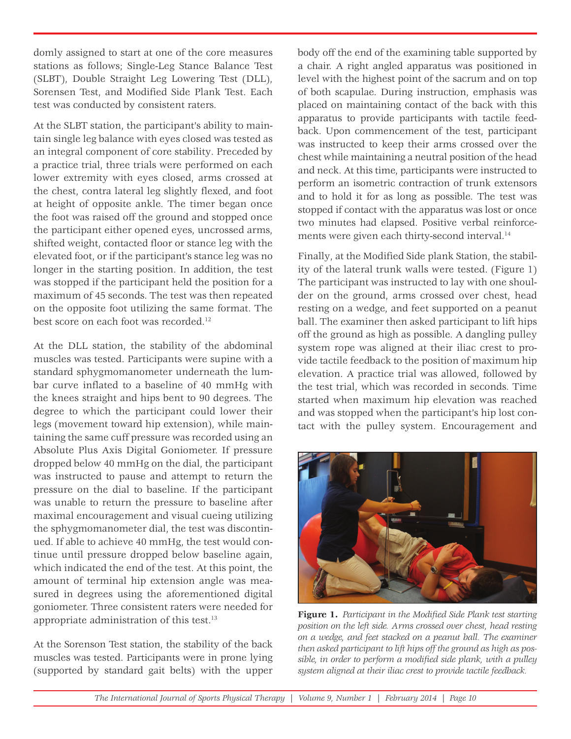domly assigned to start at one of the core measures stations as follows; Single-Leg Stance Balance Test (SLBT), Double Straight Leg Lowering Test (DLL), Sorensen Test, and Modified Side Plank Test. Each test was conducted by consistent raters.

At the SLBT station, the participant's ability to maintain single leg balance with eyes closed was tested as an integral component of core stability. Preceded by a practice trial, three trials were performed on each lower extremity with eyes closed, arms crossed at the chest, contra lateral leg slightly flexed, and foot at height of opposite ankle. The timer began once the foot was raised off the ground and stopped once the participant either opened eyes, uncrossed arms, shifted weight, contacted floor or stance leg with the elevated foot, or if the participant's stance leg was no longer in the starting position. In addition, the test was stopped if the participant held the position for a maximum of 45 seconds. The test was then repeated on the opposite foot utilizing the same format. The best score on each foot was recorded.<sup>12</sup>

At the DLL station, the stability of the abdominal muscles was tested. Participants were supine with a standard sphygmomanometer underneath the lumbar curve inflated to a baseline of 40 mmHg with the knees straight and hips bent to 90 degrees. The degree to which the participant could lower their legs (movement toward hip extension), while maintaining the same cuff pressure was recorded using an Absolute Plus Axis Digital Goniometer. If pressure dropped below 40 mmHg on the dial, the participant was instructed to pause and attempt to return the pressure on the dial to baseline. If the participant was unable to return the pressure to baseline after maximal encouragement and visual cueing utilizing the sphygmomanometer dial, the test was discontinued. If able to achieve 40 mmHg, the test would continue until pressure dropped below baseline again, which indicated the end of the test. At this point, the amount of terminal hip extension angle was measured in degrees using the aforementioned digital goniometer. Three consistent raters were needed for appropriate administration of this test.<sup>13</sup>

At the Sorenson Test station, the stability of the back muscles was tested. Participants were in prone lying (supported by standard gait belts) with the upper body off the end of the examining table supported by a chair. A right angled apparatus was positioned in level with the highest point of the sacrum and on top of both scapulae. During instruction, emphasis was placed on maintaining contact of the back with this apparatus to provide participants with tactile feedback. Upon commencement of the test, participant was instructed to keep their arms crossed over the chest while maintaining a neutral position of the head and neck. At this time, participants were instructed to perform an isometric contraction of trunk extensors and to hold it for as long as possible. The test was stopped if contact with the apparatus was lost or once two minutes had elapsed. Positive verbal reinforcements were given each thirty-second interval.<sup>14</sup>

Finally, at the Modified Side plank Station, the stability of the lateral trunk walls were tested. (Figure 1) The participant was instructed to lay with one shoulder on the ground, arms crossed over chest, head resting on a wedge, and feet supported on a peanut ball. The examiner then asked participant to lift hips off the ground as high as possible. A dangling pulley system rope was aligned at their iliac crest to provide tactile feedback to the position of maximum hip elevation. A practice trial was allowed, followed by the test trial, which was recorded in seconds. Time started when maximum hip elevation was reached and was stopped when the participant's hip lost contact with the pulley system. Encouragement and



Figure 1. Participant in the Modified Side Plank test starting *position on the left side. Arms crossed over chest, head resting on a wedge, and feet stacked on a peanut ball. The examiner then asked participant to lift hips off the ground as high as pos*sible, in order to perform a modified side plank, with a pulley *system aligned at their iliac crest to provide tactile feedback.*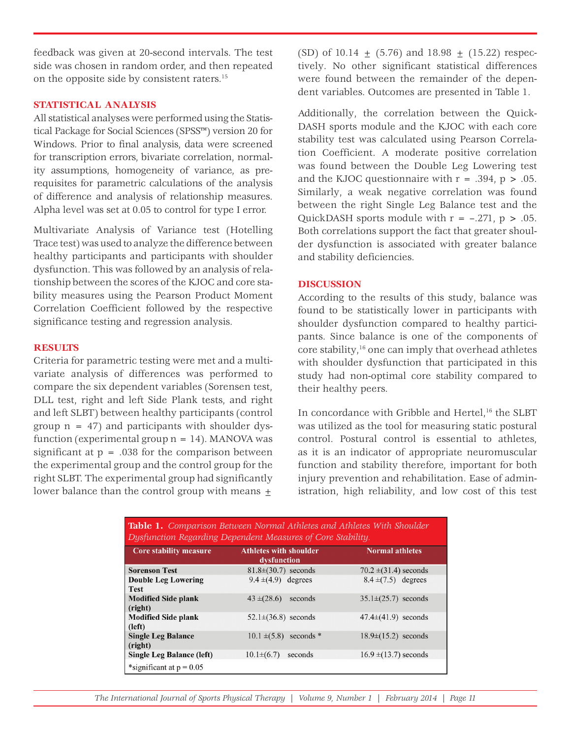feedback was given at 20-second intervals. The test side was chosen in random order, and then repeated on the opposite side by consistent raters.15

## **STATISTICAL ANALYSIS**

All statistical analyses were performed using the Statistical Package for Social Sciences (SPSS™) version 20 for Windows. Prior to final analysis, data were screened for transcription errors, bivariate correlation, normality assumptions, homogeneity of variance, as prerequisites for parametric calculations of the analysis of difference and analysis of relationship measures. Alpha level was set at 0.05 to control for type I error.

Multivariate Analysis of Variance test (Hotelling Trace test) was used to analyze the difference between healthy participants and participants with shoulder dysfunction. This was followed by an analysis of relationship between the scores of the KJOC and core stability measures using the Pearson Product Moment Correlation Coefficient followed by the respective significance testing and regression analysis.

## **RESULTS**

Criteria for parametric testing were met and a multivariate analysis of differences was performed to compare the six dependent variables (Sorensen test, DLL test, right and left Side Plank tests, and right and left SLBT) between healthy participants (control group  $n = 47$ ) and participants with shoulder dysfunction (experimental group  $n = 14$ ). MANOVA was significant at  $p = .038$  for the comparison between the experimental group and the control group for the right SLBT. The experimental group had significantly lower balance than the control group with means +

(SD) of  $10.14 + (5.76)$  and  $18.98 + (15.22)$  respectively. No other significant statistical differences were found between the remainder of the dependent variables. Outcomes are presented in Table 1.

Additionally, the correlation between the Quick-DASH sports module and the KJOC with each core stability test was calculated using Pearson Correlation Coefficient. A moderate positive correlation was found between the Double Leg Lowering test and the KJOC questionnaire with  $r = .394$ ,  $p > .05$ . Similarly, a weak negative correlation was found between the right Single Leg Balance test and the QuickDASH sports module with  $r = -.271$ ,  $p > .05$ . Both correlations support the fact that greater shoulder dysfunction is associated with greater balance and stability deficiencies.

## **DISCUSSION**

According to the results of this study, balance was found to be statistically lower in participants with shoulder dysfunction compared to healthy participants. Since balance is one of the components of core stability,16 one can imply that overhead athletes with shoulder dysfunction that participated in this study had non-optimal core stability compared to their healthy peers.

In concordance with Gribble and Hertel,<sup>16</sup> the SLBT was utilized as the tool for measuring static postural control. Postural control is essential to athletes, as it is an indicator of appropriate neuromuscular function and stability therefore, important for both injury prevention and rehabilitation. Ease of administration, high reliability, and low cost of this test

| <b>Table 1.</b> Comparison Between Normal Athletes and Athletes With Shoulder<br>Dysfunction Regarding Dependent Measures of Core Stability. |                                              |                           |
|----------------------------------------------------------------------------------------------------------------------------------------------|----------------------------------------------|---------------------------|
| <b>Core stability measure</b>                                                                                                                | <b>Athletes with shoulder</b><br>dysfunction | <b>Normal athletes</b>    |
| <b>Sorenson Test</b>                                                                                                                         | $81.8\pm(30.7)$ seconds                      | $70.2 \pm (31.4)$ seconds |
| <b>Double Leg Lowering</b><br><b>Test</b>                                                                                                    | $9.4 \pm (4.9)$ degrees                      | $8.4 \pm (7.5)$ degrees   |
| <b>Modified Side plank</b><br>(right)                                                                                                        | $43 \pm (28.6)$<br>seconds                   | $35.1 \pm (25.7)$ seconds |
| <b>Modified Side plank</b><br>(left)                                                                                                         | $52.1 \pm (36.8)$ seconds                    | $47.4\pm(41.9)$ seconds   |
| <b>Single Leg Balance</b><br>(right)                                                                                                         | $10.1 \pm (5.8)$<br>seconds *                | $18.9\pm(15.2)$ seconds   |
| Single Leg Balance (left)                                                                                                                    | $10.1\pm(6.7)$<br>seconds                    | $16.9 \pm (13.7)$ seconds |
| *significant at $p = 0.05$                                                                                                                   |                                              |                           |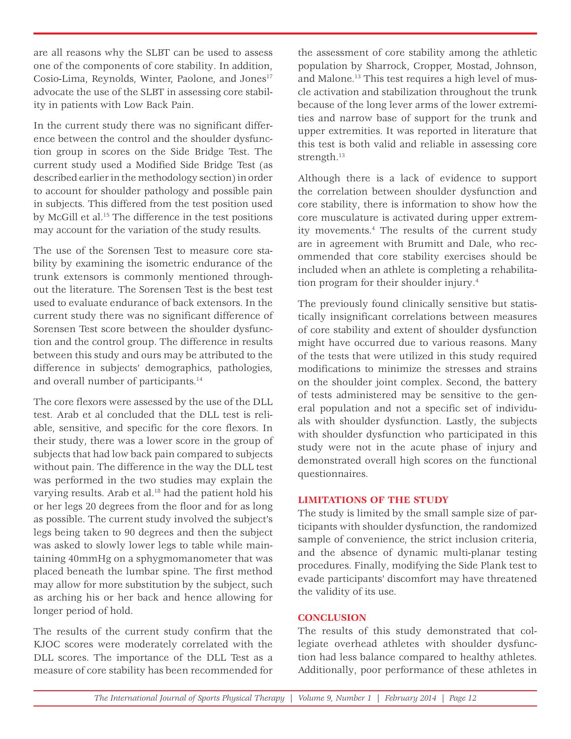are all reasons why the SLBT can be used to assess one of the components of core stability. In addition, Cosio-Lima, Reynolds, Winter, Paolone, and Jones<sup>17</sup> advocate the use of the SLBT in assessing core stability in patients with Low Back Pain.

In the current study there was no significant difference between the control and the shoulder dysfunction group in scores on the Side Bridge Test. The current study used a Modified Side Bridge Test (as described earlier in the methodology section) in order to account for shoulder pathology and possible pain in subjects. This differed from the test position used by McGill et al.<sup>15</sup> The difference in the test positions may account for the variation of the study results.

The use of the Sorensen Test to measure core stability by examining the isometric endurance of the trunk extensors is commonly mentioned throughout the literature. The Sorensen Test is the best test used to evaluate endurance of back extensors. In the current study there was no significant difference of Sorensen Test score between the shoulder dysfunction and the control group. The difference in results between this study and ours may be attributed to the difference in subjects' demographics, pathologies, and overall number of participants.<sup>14</sup>

The core flexors were assessed by the use of the DLL test. Arab et al concluded that the DLL test is reliable, sensitive, and specific for the core flexors. In their study, there was a lower score in the group of subjects that had low back pain compared to subjects without pain. The difference in the way the DLL test was performed in the two studies may explain the varying results. Arab et al.<sup>18</sup> had the patient hold his or her legs 20 degrees from the floor and for as long as possible. The current study involved the subject's legs being taken to 90 degrees and then the subject was asked to slowly lower legs to table while maintaining 40mmHg on a sphygmomanometer that was placed beneath the lumbar spine. The first method may allow for more substitution by the subject, such as arching his or her back and hence allowing for longer period of hold.

The results of the current study confirm that the KJOC scores were moderately correlated with the DLL scores. The importance of the DLL Test as a measure of core stability has been recommended for

the assessment of core stability among the athletic population by Sharrock, Cropper, Mostad, Johnson, and Malone.13 This test requires a high level of muscle activation and stabilization throughout the trunk because of the long lever arms of the lower extremities and narrow base of support for the trunk and upper extremities. It was reported in literature that this test is both valid and reliable in assessing core strength.<sup>13</sup>

Although there is a lack of evidence to support the correlation between shoulder dysfunction and core stability, there is information to show how the core musculature is activated during upper extremity movements.4 The results of the current study are in agreement with Brumitt and Dale, who recommended that core stability exercises should be included when an athlete is completing a rehabilitation program for their shoulder injury.4

The previously found clinically sensitive but statistically insignificant correlations between measures of core stability and extent of shoulder dysfunction might have occurred due to various reasons. Many of the tests that were utilized in this study required modifications to minimize the stresses and strains on the shoulder joint complex. Second, the battery of tests administered may be sensitive to the general population and not a specific set of individuals with shoulder dysfunction. Lastly, the subjects with shoulder dysfunction who participated in this study were not in the acute phase of injury and demonstrated overall high scores on the functional questionnaires.

#### **LIMITATIONS OF THE STUDY**

The study is limited by the small sample size of participants with shoulder dysfunction, the randomized sample of convenience, the strict inclusion criteria, and the absence of dynamic multi-planar testing procedures. Finally, modifying the Side Plank test to evade participants' discomfort may have threatened the validity of its use.

# **CONCLUSION**

The results of this study demonstrated that collegiate overhead athletes with shoulder dysfunction had less balance compared to healthy athletes. Additionally, poor performance of these athletes in